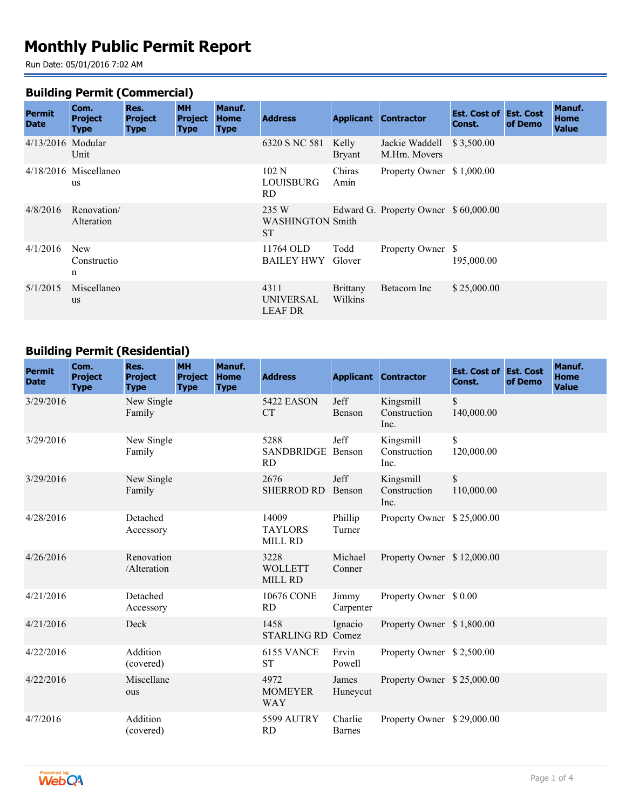# **Monthly Public Permit Report**

Run Date: 05/01/2016 7:02 AM

#### **Building Permit (Commercial)**

| <b>Permit</b><br><b>Date</b> | Com.<br><b>Project</b><br>Type       | Res.<br><b>Project</b><br><b>Type</b> | <b>MH</b><br><b>Project</b><br><b>Type</b> | Manuf.<br>Home<br><b>Type</b> | <b>Address</b>                                | <b>Applicant</b>           | <b>Contractor</b>                     | <b>Est. Cost of Est. Cost</b><br>Const. | of Demo | Manuf.<br><b>Home</b><br><b>Value</b> |
|------------------------------|--------------------------------------|---------------------------------------|--------------------------------------------|-------------------------------|-----------------------------------------------|----------------------------|---------------------------------------|-----------------------------------------|---------|---------------------------------------|
| 4/13/2016 Modular            | Unit                                 |                                       |                                            |                               | 6320 S NC 581                                 | Kelly<br><b>Bryant</b>     | Jackie Waddell<br>M.Hm. Movers        | \$3,500.00                              |         |                                       |
|                              | $4/18/2016$ Miscellaneo<br><b>us</b> |                                       |                                            |                               | 102 N<br>LOUISBURG<br>RD.                     | Chiras<br>Amin             | Property Owner \$1,000.00             |                                         |         |                                       |
| 4/8/2016                     | Renovation/<br>Alteration            |                                       |                                            |                               | 235 W<br><b>WASHINGTON Smith</b><br><b>ST</b> |                            | Edward G. Property Owner \$ 60,000.00 |                                         |         |                                       |
| 4/1/2016                     | <b>New</b><br>Constructio<br>n       |                                       |                                            |                               | 11764 OLD<br><b>BAILEY HWY</b>                | Todd<br>Glover             | Property Owner \$                     | 195,000.00                              |         |                                       |
| 5/1/2015                     | Miscellaneo<br><b>us</b>             |                                       |                                            |                               | 4311<br><b>UNIVERSAL</b><br><b>LEAF DR</b>    | <b>Brittany</b><br>Wilkins | Betacom Inc                           | \$25,000.00                             |         |                                       |

## **Building Permit (Residential)**

| <b>Permit</b><br><b>Date</b> | Com.<br><b>Project</b><br><b>Type</b> | Res.<br><b>Project</b><br><b>Type</b> | <b>MH</b><br><b>Project</b><br><b>Type</b> | Manuf.<br><b>Home</b><br><b>Type</b> | <b>Address</b>                            |                          | <b>Applicant Contractor</b>       | <b>Est. Cost of Est. Cost</b><br>Const. | of Demo | Manuf.<br><b>Home</b><br><b>Value</b> |
|------------------------------|---------------------------------------|---------------------------------------|--------------------------------------------|--------------------------------------|-------------------------------------------|--------------------------|-----------------------------------|-----------------------------------------|---------|---------------------------------------|
| 3/29/2016                    |                                       | New Single<br>Family                  |                                            |                                      | <b>5422 EASON</b><br><b>CT</b>            | Jeff<br>Benson           | Kingsmill<br>Construction<br>Inc. | $\mathbb{S}$<br>140,000.00              |         |                                       |
| 3/29/2016                    |                                       | New Single<br>Family                  |                                            |                                      | 5288<br><b>SANDBRIDGE</b><br><b>RD</b>    | Jeff<br>Benson           | Kingsmill<br>Construction<br>Inc. | \$<br>120,000.00                        |         |                                       |
| 3/29/2016                    |                                       | New Single<br>Family                  |                                            |                                      | 2676<br><b>SHERROD RD</b>                 | Jeff<br>Benson           | Kingsmill<br>Construction<br>Inc. | $\mathbb{S}$<br>110,000.00              |         |                                       |
| 4/28/2016                    |                                       | Detached<br>Accessory                 |                                            |                                      | 14009<br><b>TAYLORS</b><br><b>MILL RD</b> | Phillip<br>Turner        | Property Owner \$25,000.00        |                                         |         |                                       |
| 4/26/2016                    |                                       | Renovation<br>/Alteration             |                                            |                                      | 3228<br><b>WOLLETT</b><br><b>MILL RD</b>  | Michael<br>Conner        | Property Owner \$12,000.00        |                                         |         |                                       |
| 4/21/2016                    |                                       | Detached<br>Accessory                 |                                            |                                      | 10676 CONE<br>RD                          | Jimmy<br>Carpenter       | Property Owner \$0.00             |                                         |         |                                       |
| 4/21/2016                    |                                       | Deck                                  |                                            |                                      | 1458<br><b>STARLING RD Comez</b>          | Ignacio                  | Property Owner \$1,800.00         |                                         |         |                                       |
| 4/22/2016                    |                                       | Addition<br>(covered)                 |                                            |                                      | 6155 VANCE<br><b>ST</b>                   | Ervin<br>Powell          | Property Owner \$2,500.00         |                                         |         |                                       |
| 4/22/2016                    |                                       | Miscellane<br>ous                     |                                            |                                      | 4972<br><b>MOMEYER</b><br><b>WAY</b>      | James<br>Huneycut        | Property Owner \$25,000.00        |                                         |         |                                       |
| 4/7/2016                     |                                       | Addition<br>(covered)                 |                                            |                                      | 5599 AUTRY<br><b>RD</b>                   | Charlie<br><b>Barnes</b> | Property Owner \$29,000.00        |                                         |         |                                       |

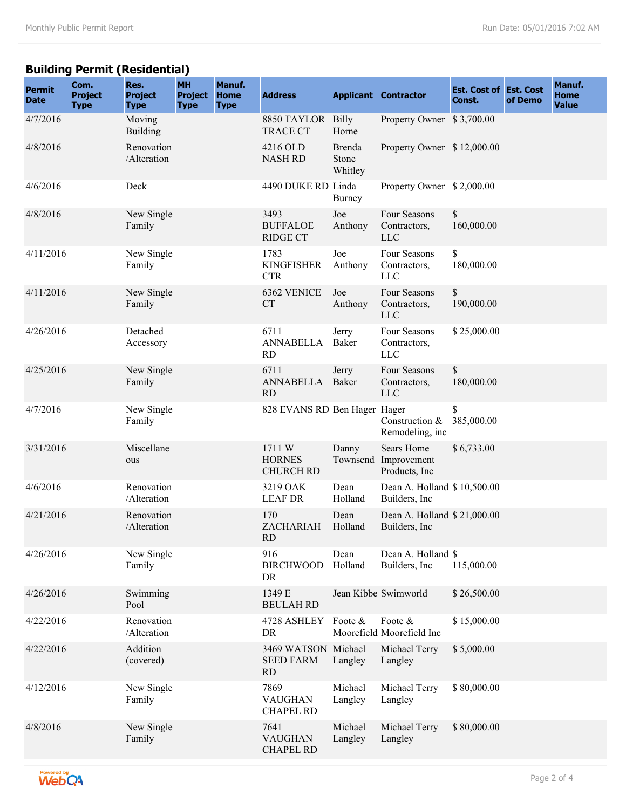## **Building Permit (Residential)**

| <b>Permit</b><br><b>Date</b> | Com.<br><b>Project</b><br><b>Type</b> | Res.<br><b>Project</b><br><b>Type</b> | <b>MH</b><br><b>Project</b><br><b>Type</b> | Manuf.<br><b>Home</b><br><b>Type</b> | <b>Address</b>                                       |                            | <b>Applicant Contractor</b>                  | <b>Est. Cost of Est. Cost</b><br>Const. | of Demo | Manuf.<br><b>Home</b><br><b>Value</b> |
|------------------------------|---------------------------------------|---------------------------------------|--------------------------------------------|--------------------------------------|------------------------------------------------------|----------------------------|----------------------------------------------|-----------------------------------------|---------|---------------------------------------|
| 4/7/2016                     |                                       | Moving<br><b>Building</b>             |                                            |                                      | 8850 TAYLOR Billy<br><b>TRACE CT</b>                 | Horne                      | Property Owner \$3,700.00                    |                                         |         |                                       |
| 4/8/2016                     |                                       | Renovation<br>/Alteration             |                                            |                                      | 4216 OLD<br><b>NASH RD</b>                           | Brenda<br>Stone<br>Whitley | Property Owner \$12,000.00                   |                                         |         |                                       |
| 4/6/2016                     |                                       | Deck                                  |                                            |                                      | 4490 DUKE RD Linda                                   | <b>Burney</b>              | Property Owner \$2,000.00                    |                                         |         |                                       |
| 4/8/2016                     |                                       | New Single<br>Family                  |                                            |                                      | 3493<br><b>BUFFALOE</b><br><b>RIDGE CT</b>           | Joe<br>Anthony             | Four Seasons<br>Contractors,<br><b>LLC</b>   | \$<br>160,000.00                        |         |                                       |
| 4/11/2016                    |                                       | New Single<br>Family                  |                                            |                                      | 1783<br><b>KINGFISHER</b><br><b>CTR</b>              | Joe<br>Anthony             | Four Seasons<br>Contractors,<br><b>LLC</b>   | \$<br>180,000.00                        |         |                                       |
| 4/11/2016                    |                                       | New Single<br>Family                  |                                            |                                      | 6362 VENICE<br><b>CT</b>                             | Joe<br>Anthony             | Four Seasons<br>Contractors,<br><b>LLC</b>   | $\mathbb{S}$<br>190,000.00              |         |                                       |
| 4/26/2016                    |                                       | Detached<br>Accessory                 |                                            |                                      | 6711<br><b>ANNABELLA</b><br><b>RD</b>                | Jerry<br>Baker             | Four Seasons<br>Contractors,<br><b>LLC</b>   | \$25,000.00                             |         |                                       |
| 4/25/2016                    |                                       | New Single<br>Family                  |                                            |                                      | 6711<br><b>ANNABELLA</b><br><b>RD</b>                | Jerry<br>Baker             | Four Seasons<br>Contractors,<br><b>LLC</b>   | \$<br>180,000.00                        |         |                                       |
| 4/7/2016                     |                                       | New Single<br>Family                  |                                            |                                      | 828 EVANS RD Ben Hager Hager                         |                            | Construction &<br>Remodeling, inc            | \$<br>385,000.00                        |         |                                       |
| 3/31/2016                    |                                       | Miscellane<br>ous                     |                                            |                                      | 1711 W<br><b>HORNES</b><br><b>CHURCH RD</b>          | Danny<br>Townsend          | Sears Home<br>Improvement<br>Products, Inc   | \$6,733.00                              |         |                                       |
| 4/6/2016                     |                                       | Renovation<br>/Alteration             |                                            |                                      | 3219 OAK<br><b>LEAF DR</b>                           | Dean<br>Holland            | Dean A. Holland \$10,500.00<br>Builders, Inc |                                         |         |                                       |
| 4/21/2016                    |                                       | Renovation<br>/Alteration             |                                            |                                      | 170<br>ZACHARIAH<br>KD.                              | Dean<br>Holland            | Dean A. Holland \$21,000.00<br>Builders, Inc |                                         |         |                                       |
| 4/26/2016                    |                                       | New Single<br>Family                  |                                            |                                      | 916<br><b>BIRCHWOOD</b><br>DR                        | Dean<br>Holland            | Dean A. Holland \$<br>Builders, Inc.         | 115,000.00                              |         |                                       |
| 4/26/2016                    |                                       | Swimming<br>Pool                      |                                            |                                      | 1349 E<br><b>BEULAH RD</b>                           |                            | Jean Kibbe Swimworld                         | \$26,500.00                             |         |                                       |
| 4/22/2016                    |                                       | Renovation<br>/Alteration             |                                            |                                      | 4728 ASHLEY<br>DR                                    | Foote &                    | Foote &<br>Moorefield Moorefield Inc         | \$15,000.00                             |         |                                       |
| 4/22/2016                    |                                       | Addition<br>(covered)                 |                                            |                                      | 3469 WATSON Michael<br><b>SEED FARM</b><br><b>RD</b> | Langley                    | Michael Terry<br>Langley                     | \$5,000.00                              |         |                                       |
| 4/12/2016                    |                                       | New Single<br>Family                  |                                            |                                      | 7869<br><b>VAUGHAN</b><br><b>CHAPEL RD</b>           | Michael<br>Langley         | Michael Terry<br>Langley                     | \$80,000.00                             |         |                                       |
| 4/8/2016                     |                                       | New Single<br>Family                  |                                            |                                      | 7641<br><b>VAUGHAN</b><br><b>CHAPEL RD</b>           | Michael<br>Langley         | Michael Terry<br>Langley                     | \$80,000.00                             |         |                                       |

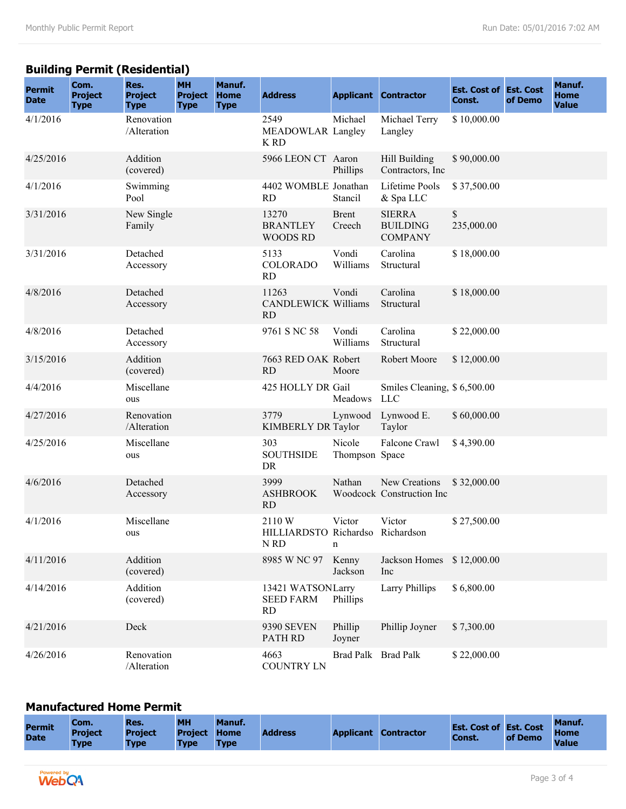## **Building Permit (Residential)**

| <b>Permit</b><br><b>Date</b> | Com.<br><b>Project</b><br><b>Type</b> | Res.<br><b>Project</b><br><b>Type</b> | <b>MH</b><br><b>Project</b><br><b>Type</b> | Manuf.<br><b>Home</b><br><b>Type</b> | <b>Address</b>                                                                   |                          | <b>Applicant Contractor</b>                        | <b>Est. Cost of Est. Cost</b><br>Const. | of Demo | Manuf.<br><b>Home</b><br><b>Value</b> |
|------------------------------|---------------------------------------|---------------------------------------|--------------------------------------------|--------------------------------------|----------------------------------------------------------------------------------|--------------------------|----------------------------------------------------|-----------------------------------------|---------|---------------------------------------|
| 4/1/2016                     |                                       | Renovation<br>/Alteration             |                                            |                                      | 2549<br>MEADOWLAR Langley<br>K RD                                                | Michael                  | Michael Terry<br>Langley                           | \$10,000.00                             |         |                                       |
| 4/25/2016                    |                                       | Addition<br>(covered)                 |                                            |                                      | 5966 LEON CT Aaron                                                               | Phillips                 | Hill Building<br>Contractors, Inc.                 | \$90,000.00                             |         |                                       |
| 4/1/2016                     |                                       | Swimming<br>Pool                      |                                            |                                      | 4402 WOMBLE Jonathan<br><b>RD</b>                                                | Stancil                  | Lifetime Pools<br>& Spa LLC                        | \$37,500.00                             |         |                                       |
| 3/31/2016                    |                                       | New Single<br>Family                  |                                            |                                      | 13270<br><b>BRANTLEY</b><br><b>WOODS RD</b>                                      | <b>Brent</b><br>Creech   | <b>SIERRA</b><br><b>BUILDING</b><br><b>COMPANY</b> | \$<br>235,000.00                        |         |                                       |
| 3/31/2016                    |                                       | Detached<br>Accessory                 |                                            |                                      | 5133<br><b>COLORADO</b><br><b>RD</b>                                             | Vondi<br>Williams        | Carolina<br>Structural                             | \$18,000.00                             |         |                                       |
| 4/8/2016                     |                                       | Detached<br>Accessory                 |                                            |                                      | 11263<br><b>CANDLEWICK Williams</b><br><b>RD</b>                                 | Vondi                    | Carolina<br>Structural                             | \$18,000.00                             |         |                                       |
| 4/8/2016                     |                                       | Detached<br>Accessory                 |                                            |                                      | 9761 S NC 58                                                                     | Vondi<br>Williams        | Carolina<br>Structural                             | \$22,000.00                             |         |                                       |
| 3/15/2016                    |                                       | Addition<br>(covered)                 |                                            |                                      | 7663 RED OAK Robert<br><b>RD</b>                                                 | Moore                    | Robert Moore                                       | \$12,000.00                             |         |                                       |
| 4/4/2016                     |                                       | Miscellane<br>ous                     |                                            |                                      | 425 HOLLY DR Gail                                                                | Meadows                  | Smiles Cleaning, \$6,500.00<br><b>LLC</b>          |                                         |         |                                       |
| 4/27/2016                    |                                       | Renovation<br>/Alteration             |                                            |                                      | 3779<br>KIMBERLY DR Taylor                                                       | Lynwood                  | Lynwood E.<br>Taylor                               | \$60,000.00                             |         |                                       |
| 4/25/2016                    |                                       | Miscellane<br>ous                     |                                            |                                      | 303<br><b>SOUTHSIDE</b><br>DR.                                                   | Nicole<br>Thompson Space | Falcone Crawl                                      | \$4,390.00                              |         |                                       |
| 4/6/2016                     |                                       | Detached<br>Accessory                 |                                            |                                      | 3999<br><b>ASHBROOK</b><br>RD                                                    | Nathan                   | New Creations<br>Woodcock Construction Inc         | \$32,000.00                             |         |                                       |
| 4/1/2016                     |                                       | Miscellane<br>ous                     |                                            |                                      | 2110W<br>HILLIARDSTO Richardso Richardson<br>$\ensuremath{\mathsf{N}}\xspace$ RD | Victor<br>n              | Victor                                             | \$27,500.00                             |         |                                       |
| 4/11/2016                    |                                       | Addition<br>(covered)                 |                                            |                                      | 8985 W NC 97                                                                     | Kenny<br>Jackson         | Jackson Homes<br>Inc                               | \$12,000.00                             |         |                                       |
| 4/14/2016                    |                                       | Addition<br>(covered)                 |                                            |                                      | 13421 WATSONLarry<br><b>SEED FARM</b><br>RD                                      | Phillips                 | Larry Phillips                                     | \$6,800.00                              |         |                                       |
| 4/21/2016                    |                                       | Deck                                  |                                            |                                      | <b>9390 SEVEN</b><br><b>PATH RD</b>                                              | Phillip<br>Joyner        | Phillip Joyner                                     | \$7,300.00                              |         |                                       |
| 4/26/2016                    |                                       | Renovation<br>/Alteration             |                                            |                                      | 4663<br><b>COUNTRY LN</b>                                                        | Brad Palk Brad Palk      |                                                    | \$22,000.00                             |         |                                       |

#### **Manufactured Home Permit**

| <b>Permit</b><br><b>Date</b> | Com.<br><b>Project</b><br><b>Type</b> | Res.<br><b>Project</b><br><b>Type</b> | <b>MH</b><br><b>Project Home</b><br><b>Type</b> | Manuf.<br><b>Type</b> | <b>Address</b> | <b>Applicant Contractor</b> | <b>Est. Cost of Est. Cost</b><br><b>Const.</b> | of Demo | Manuf.<br><b>Home</b><br><b>Value</b> |
|------------------------------|---------------------------------------|---------------------------------------|-------------------------------------------------|-----------------------|----------------|-----------------------------|------------------------------------------------|---------|---------------------------------------|
|                              |                                       |                                       |                                                 |                       |                |                             |                                                |         |                                       |